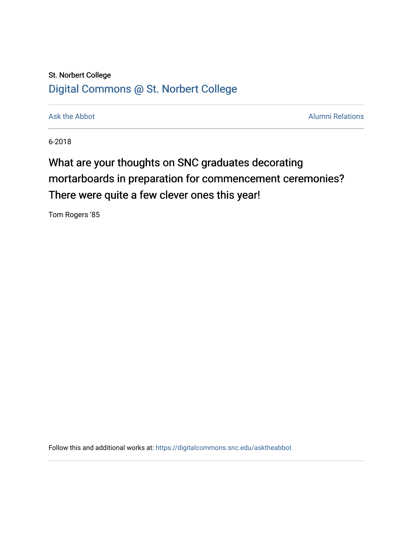## St. Norbert College [Digital Commons @ St. Norbert College](https://digitalcommons.snc.edu/)

[Ask the Abbot](https://digitalcommons.snc.edu/asktheabbot) **Alumni Relations** Ask the Abbot [Alumni Relations](https://digitalcommons.snc.edu/alumni) and Alumni Relations and Alumni Relations and Alumni Relations and Alumni Relations and Alumni Relations and Alumni Relations and Alumni Relations and Alumni

6-2018

## What are your thoughts on SNC graduates decorating mortarboards in preparation for commencement ceremonies? There were quite a few clever ones this year!

Tom Rogers '85

Follow this and additional works at: [https://digitalcommons.snc.edu/asktheabbot](https://digitalcommons.snc.edu/asktheabbot?utm_source=digitalcommons.snc.edu%2Fasktheabbot%2F110&utm_medium=PDF&utm_campaign=PDFCoverPages)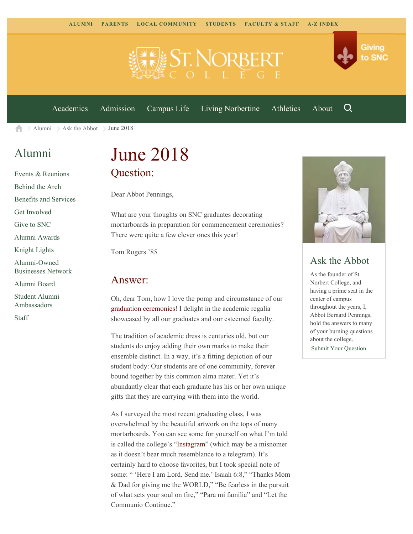

[Academics](https://www.snc.edu/academics) [Admission](https://www.snc.edu/admission) [Campus Life](https://www.snc.edu/campuslife) [Living Norbertine](https://www.snc.edu/livingnorbertine) [Athletics](https://www.snc.edu/athletics) [About](https://www.snc.edu/about)

Q

Giving

to SNC

[Alumni](https://www.snc.edu/alumni/)  $\geq$  [Ask the Abbot](https://www.snc.edu/alumni/abbot/)  $\geq$  June 2018 合

### [Alumni](https://www.snc.edu/alumni/index.html)

[Events & Reunions](https://www.snc.edu/alumni/event/index.html) [Behind the Arch](https://www.snc.edu/alumni/event/behindthearch/) [Benefits and Services](https://www.snc.edu/alumni/benefits.html) [Get Involved](https://www.snc.edu/alumni/getinvolved.html) [Give to SNC](http://giving.snc.edu/) [Alumni Awards](https://www.snc.edu/alumni/awards/index.html) [Knight Lights](https://www.snc.edu/alumni/knightlights/index.html) [Alumni-Owned](https://www.snc.edu/alumni/directory/index.html) [Businesses Network](https://www.snc.edu/alumni/directory/index.html) [Alumni Board](https://www.snc.edu/alumni/alumniboard.html) [Student Alumni](https://www.snc.edu/alumni/saa.html) [Ambassadors](https://www.snc.edu/alumni/saa.html)

[Staff](https://www.snc.edu/alumni/contactus.html)

# June 2018 Question:

Dear Abbot Pennings,

What are your thoughts on SNC graduates decorating mortarboards in preparation for commencement ceremonies? There were quite a few clever ones this year!

Tom Rogers '85

#### Answer:

Oh, dear Tom, how I love the pomp and circumstance of our [graduation ceremonies!](https://youtu.be/vOQkgT6RZus) I delight in the academic regalia showcased by all our graduates and our esteemed faculty.

The tradition of academic dress is centuries old, but our students do enjoy adding their own marks to make their ensemble distinct. In a way, it's a fitting depiction of our student body: Our students are of one community, forever bound together by this common alma mater. Yet it's abundantly clear that each graduate has his or her own unique gifts that they are carrying with them into the world.

As I surveyed the most recent graduating class, I was overwhelmed by the beautiful artwork on the tops of many mortarboards. You can see some for yourself on what I'm told is called the college's ["Instagram](https://www.instagram.com/stnorbert/?)" (which may be a misnomer as it doesn't bear much resemblance to a telegram). It's certainly hard to choose favorites, but I took special note of some: " 'Here I am Lord. Send me.' Isaiah 6:8," "Thanks Mom & Dad for giving me the WORLD," "Be fearless in the pursuit of what sets your soul on fire," "Para mi familia" and "Let the Communio Continue."



#### Ask the Abbot

As the founder of St. Norbert College, and having a prime seat in the center of campus throughout the years, I, Abbot Bernard Pennings, hold the answers to many of your burning questions about the college. [Submit Your Question](https://www.snc.edu/alumni/abbot/index.html)